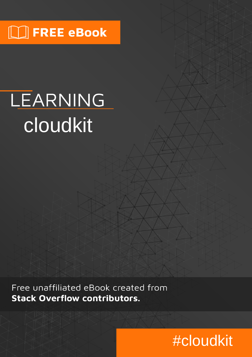## $\Box$  FREE eBook

# LEARNING cloudkit

Free unaffiliated eBook created from **Stack Overflow contributors.** 

# #cloudkit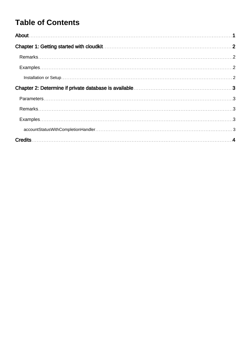### **Table of Contents**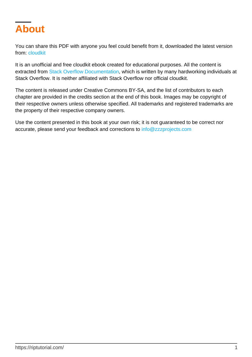<span id="page-2-0"></span>

You can share this PDF with anyone you feel could benefit from it, downloaded the latest version from: [cloudkit](http://riptutorial.com/ebook/cloudkit)

It is an unofficial and free cloudkit ebook created for educational purposes. All the content is extracted from [Stack Overflow Documentation,](https://archive.org/details/documentation-dump.7z) which is written by many hardworking individuals at Stack Overflow. It is neither affiliated with Stack Overflow nor official cloudkit.

The content is released under Creative Commons BY-SA, and the list of contributors to each chapter are provided in the credits section at the end of this book. Images may be copyright of their respective owners unless otherwise specified. All trademarks and registered trademarks are the property of their respective company owners.

Use the content presented in this book at your own risk; it is not guaranteed to be correct nor accurate, please send your feedback and corrections to [info@zzzprojects.com](mailto:info@zzzprojects.com)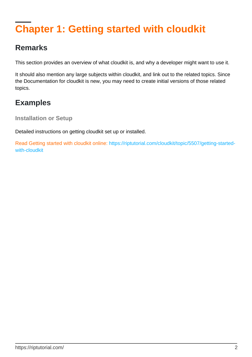### <span id="page-3-0"></span>**Chapter 1: Getting started with cloudkit**

### <span id="page-3-1"></span>**Remarks**

This section provides an overview of what cloudkit is, and why a developer might want to use it.

It should also mention any large subjects within cloudkit, and link out to the related topics. Since the Documentation for cloudkit is new, you may need to create initial versions of those related topics.

### <span id="page-3-2"></span>**Examples**

<span id="page-3-3"></span>**Installation or Setup**

Detailed instructions on getting cloudkit set up or installed.

Read Getting started with cloudkit online: [https://riptutorial.com/cloudkit/topic/5507/getting-started](https://riptutorial.com/cloudkit/topic/5507/getting-started-with-cloudkit)[with-cloudkit](https://riptutorial.com/cloudkit/topic/5507/getting-started-with-cloudkit)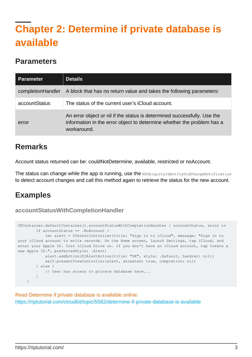### <span id="page-4-0"></span>**Chapter 2: Determine if private database is available**

#### <span id="page-4-1"></span>**Parameters**

| <b>Parameter</b>  | <b>Details</b>                                                                                                                                                    |
|-------------------|-------------------------------------------------------------------------------------------------------------------------------------------------------------------|
| completionHandler | A block that has no return value and takes the following parameters:                                                                                              |
| accountStatus     | The status of the current user's iCloud account.                                                                                                                  |
| error             | An error object or nil if the status is determined successfully. Use the<br>information in the error object to determine whether the problem has a<br>workaround. |

### <span id="page-4-2"></span>**Remarks**

Account status returned can be: couldNotDetermine, available, restricted or noAccount.

The status can change while the app is running, use the NSUbiquityIdentityDidChangeNotification to detect account changes and call this method again to retrieve the status for the new account.

### <span id="page-4-3"></span>**Examples**

#### <span id="page-4-4"></span>**accountStatusWithCompletionHandler**

```
CKContainer.defaultContainer().accountStatusWithCompletionHandler { accountStatus, error in
         if accountStatus == .NoAccount {
             let alert = UIAlertController(title: "Sign in to iCloud", message: "Sign in to
your iCloud account to write records. On the Home screen, launch Settings, tap iCloud, and
enter your Apple ID. Turn iCloud Drive on. If you don't have an iCloud account, tap Create a
new Apple ID.", preferredStyle: .Alert)
            alert.addAction(UIAlertAction(title: "OK", style: .Default, handler: nil))
            self.presentViewController(alert, animated: true, completion: nil)
         } else {
            // User has access to private database here...
         }
     }
```
Read Determine if private database is available online: <https://riptutorial.com/cloudkit/topic/5582/determine-if-private-database-is-available>